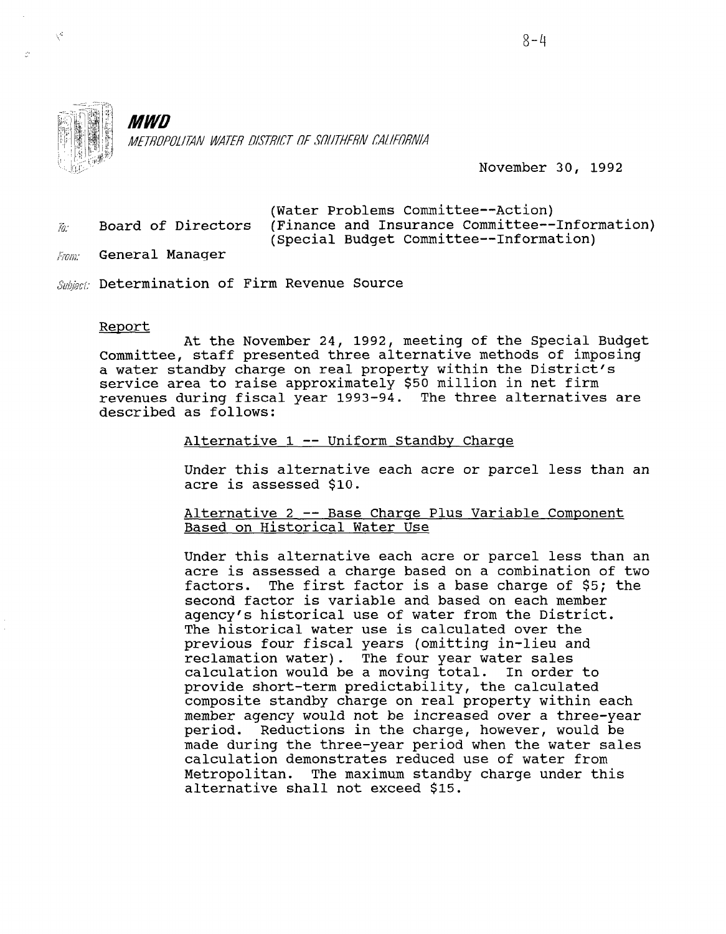

 $\chi^2$ 

. .

# **MWD**

METROPOLITAN WATER DISTRICT OF SOUTHERN CALIFORNIA

November 30, 1992

|     | (Water Problems Committee--Action)                                |
|-----|-------------------------------------------------------------------|
| Ĩа: | Board of Directors (Finance and Insurance Committee--Information) |
|     | (Special Budget Committee--Information)                           |

- $F_{\ell \ell m r}$  General Manager
- Subject: Determination of Firm Revenue Source

#### Report

At the November 24, 1992, meeting of the Special Budget Committee, staff presented three alternative methods of imposing a water standby charge on real property within the District's service area to raise approximately \$50 million in net firm revenues during fiscal year 1993-94. The three alternatives are described as follows:

Alternative 1 -- Uniform Standby Charge

Under this alternative each acre or parcel less than an Under this alternativ

Alternative 2 -- Base Charge Plus Variable Component <u> Alternative 2 -- Base Charge</u>

Under this alternative each acre or parcel less than an Under this alternative each acre or parcel less than an acre is assessed a charge based on a combination of two<br>factors. The first factor is a base charge of \$5; the The first factor is a base charge of  $$5;$  the second factor is variable and based on each member agency's historical use of water from the District. The historical water use is calculated over the previous four fiscal years (omitting in-lieu and reclamation water). The four year water sales calculation would be a moving total. In order to provide short-term predictability, the calculated composite standby charge on real property within each member agency would not be increased over a three-year period. Reductions in the charge, however, would be made during the three-year period when the water sales calculation demonstrates reduced use of water from Metropolitan. The maximum standby charge under this alternative shall not exceed \$15.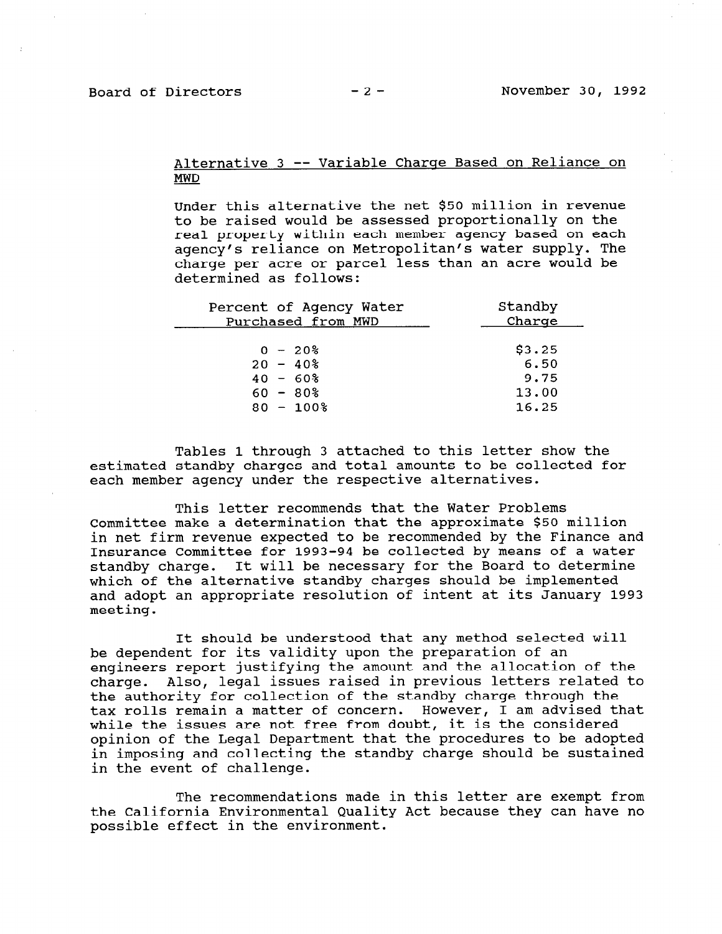## Alternative 3 -- Variable Charge Based on Reliance on MWD

Under this alternative the net \$50 million in revenue to be raised would be assessed proportionally on the real property within each member agency based on each agency's reliance on Metropolitan's water supply. The charge per acre or parcel less than an acre would be determined as follows:

| Percent of Agency Water | Standby |
|-------------------------|---------|
| Purchased from MWD      | Charge  |
| $0 - 20$                | \$3.25  |
| $20 - 40\%$             | 6.50    |
| $40 - 60\%$             | 9.75    |
| $60 - 80\%$             | 13.00   |
| $80 - 100$ %            | 16.25   |

Tables 1 through 3 attached to this letter show the estimated standby charges and total amounts to be collected for each member agency under the respective alternatives.

This letter recommends that the Water Problems Committee make a determination that the approximate \$50 million in net firm revenue expected to be recommended by the Finance and Insurance Committee for 1993-94 be collected by means of a water standby charge. It will be necessary for the Board to determine which of the alternative standby charges should be implemented and adopt an appropriate resolution of intent at its January 1993 meeting.

It should be understood that any method selected will be dependent for its validity upon the preparation of an engineers report justifying the amount and the allocation of the charge. Also, legal issues raised in previous letters related to the authority for collection of the standby charge through the tax rolls remain a matter of concern. However, I am advised that while the issues are not free from doubt, it is the considered opinion of the Legal Department that the procedures to be adopted in imposing and collecting the standby charge should be sustained in the event of challenge.

The recommendations made in this letter are exempt from the recommendations made in this letter are exempt from the california Environmental Qua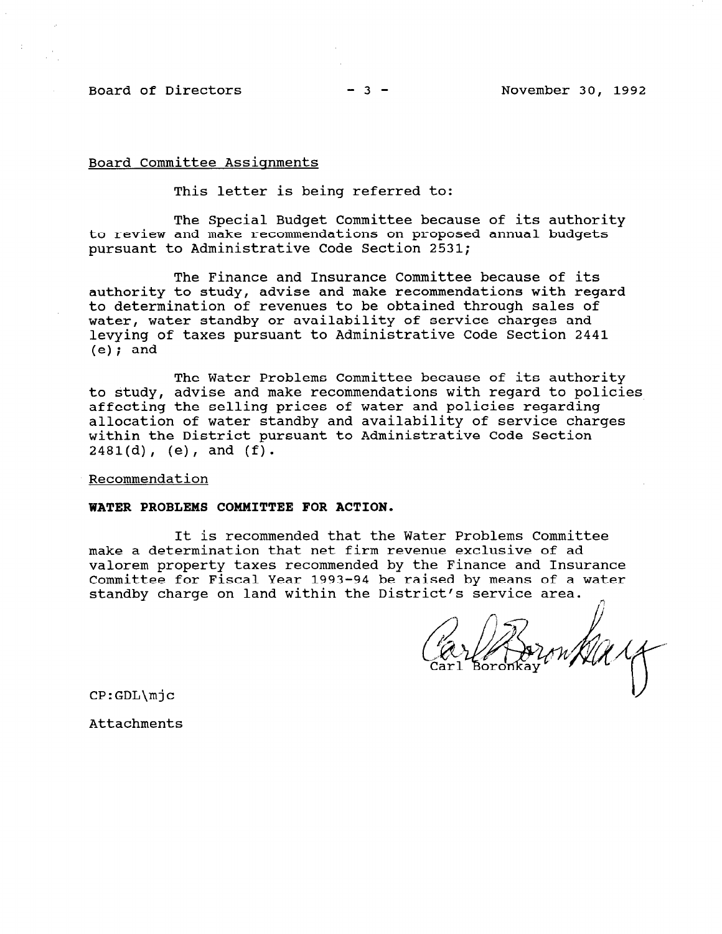Board of Directors -3 - November 30, 1992

Board Committee Assignments

This letter is being referred to:

The Special Budget Committee because of its authority to review and make recommendations on proposed annual budgets pursuant to Administrative Code Section 2531;

The Finance and Insurance Committee because of its authority to study, advise and make recommendations with regar to determination of revenues to be obtained through sales of water, water standby or availability of service charges and levying of taxes pursuant to Administrative Code Section 2441  $(e)$ ; and

The Water Problems Committee because of its authority to study, advise and make recommendations with regard to policies affecting the selling prices of water and policies regarding allocation of water standby and availability of service charges within the District pursuant to Administrative Code Section  $2481(d)$ , (e), and  $(f)$ .

Recommendation

### WATER PROBLEMS COMMITTEE FOR ACTION.

It is recommended that the Water Problems Committee make a determination that net firm revenue exclusive of ad valorem property taxes recommended by the Finance and Insurance Committee for Fiscal Year 1993-94 be raised by means of a water standby charge on land within the District's service area.

CP:GDL\mjc

Attachments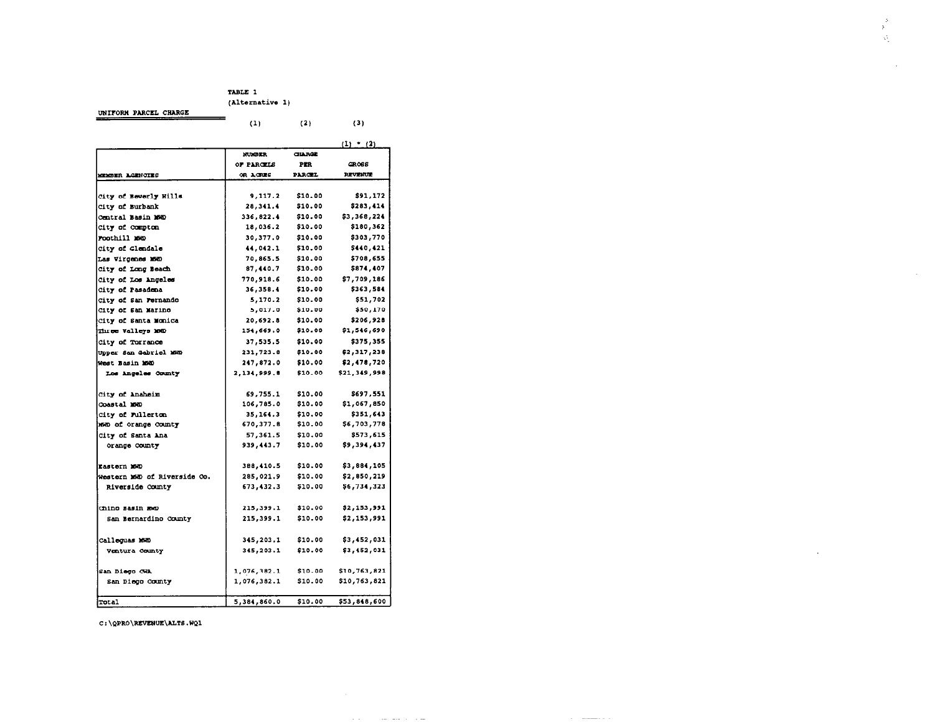#### TABLE 1 (Alternative 1)

Ŵ

 $\sim$ 

UNIFORM PARCEL CHARGE

|                                          | (1)         | (2)            | (3)            |  |
|------------------------------------------|-------------|----------------|----------------|--|
|                                          |             |                | $(1)$ (2)      |  |
|                                          | NUMBER      | <b>CHARGE</b>  |                |  |
|                                          | OF PARCELS  | <b>PER</b>     | CR068          |  |
| <b>MEMBER ACENCIES</b>                   | or acres    | PARCEL         | <b>REVENUE</b> |  |
|                                          |             |                |                |  |
| City of Beverly Hills                    | 9,117.2     | \$10.00        | \$91,172       |  |
| City of Burbank                          | 28,341.4    | <b>\$10.00</b> | \$283,414      |  |
| Central Basin MWD                        | 336,822.4   | \$10.00        | \$3,368,224    |  |
| City of compton                          | 18,036.2    | \$10.00        | \$180,362      |  |
| roothill me                              | 30,377.0    | \$10.00        | \$303,770      |  |
| City of Glendale                         | 44,042.1    | \$10.00        | \$440,421      |  |
| Las Virgenes MSD                         | 70,865.5    | \$10.00        | \$708,655      |  |
| City of Long Seach                       | 87,440.7    | \$10.00        | \$874,407      |  |
| City of Los Angeles                      | 770,918.6   | \$10.00        | \$7,709,186    |  |
| City of Pasadena                         | 36,358.4    | \$10.00        | \$363,584      |  |
| City of San Fernando                     | 5,170.2     | \$10.00        | \$51,702       |  |
| City of San Marino                       | 5,017.0     | \$10.00        | \$50,170       |  |
| City of Santa Monica                     | 20,692.8    | \$10.00        | \$206,928      |  |
| Three Valleys 100                        | 154,669.0   | \$10.00        | \$1,516,690    |  |
| City of Torrance                         | 37,535.5    | \$10.00        | \$375,355      |  |
| Upper San Gabriel MRD                    | 231,723.8   | \$10.00        | \$2,317,238    |  |
| West Basin MWD                           | 247,872.0   | \$10.00        | \$2,478,720    |  |
| Los Angeles County                       | 2,134,999.8 | \$10.00        | \$21,349,998   |  |
| City of Anaheim                          | 69,755.1    | \$10.00        | \$697.551      |  |
| <b>Coastal MWD</b>                       | 106,785.0   | \$10.00        | \$1,067,850    |  |
| city of Fullerton                        | 35, 164.3   | \$10.00        | \$351,643      |  |
| men of orange county                     | 670, 377.8  | \$10.00        | \$6,703,778    |  |
| City of Santa Ana                        | 57,361.5    | \$10.00        | \$573,615      |  |
| Orange County                            | 939,443.7   | \$10.00        | \$9,394,437    |  |
| <b>Lastern MAD</b>                       | 388,410.5   | \$10.00        | \$3,884,105    |  |
| <del>Wes</del> tern 168 of Riverside Co. | 285,021.9   | \$10.00        | \$2,850,219    |  |
| Riverside County                         | 673,432.3   | \$10.00        | \$6,734,323    |  |
|                                          |             |                |                |  |
| chino Basin RMD                          | 215,399.1   | \$10.00        | \$2,153,991    |  |
| san Bernardino County                    | 215,399.1   | \$10.00        | \$2,153,991    |  |
|                                          |             |                |                |  |
| Callequas MWD                            | 345,203.1   | \$10.00        | \$3,452,031    |  |
| Ventura County                           | 345, 203.1  | \$10.00        | \$3,452,031    |  |
| san Diego CWA                            | 1,076,382.1 | \$10.00        | \$10,763,821   |  |
| San Diego County                         | 1,076,382.1 | \$10.00        | \$10,763,821   |  |
|                                          |             |                |                |  |
| Total                                    | 5,384,860.0 | \$10.00        | \$53,848,600   |  |

the control of the second control

 $\frac{1}{2}$ 

C:\QPRO\REVENUE\ALTS.WQ1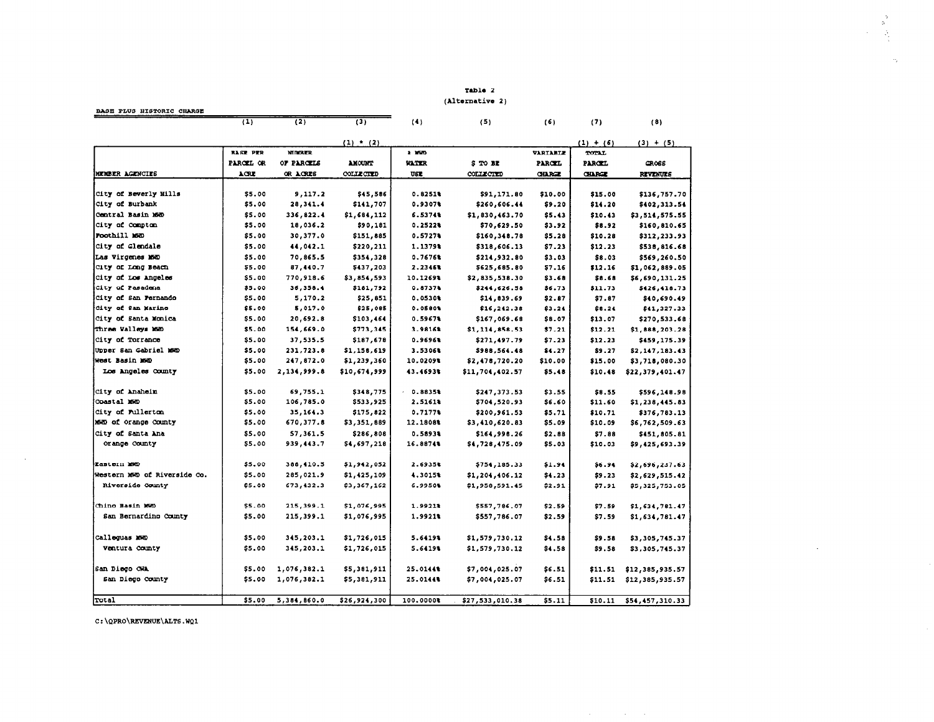Table 2 (Alternative 2)  $\frac{5}{3}$ 

 $\sim$ 

 $\mathcal{L}(\mathcal{L})$  and  $\mathcal{L}(\mathcal{L})$  and  $\mathcal{L}(\mathcal{L})$ 

 $\alpha_{\rm i}$ 

| BASE PLUS HISTORIC CHARGE                |                 |               |               |              |                  |               |               |                 |  |
|------------------------------------------|-----------------|---------------|---------------|--------------|------------------|---------------|---------------|-----------------|--|
|                                          | (1)             | (2)           | (3)           | (4)          | (5)              | (6)           | (7)           | (8)             |  |
|                                          |                 |               | $(1)$ * $(2)$ |              |                  |               | $(1) + (6)$   | $(3) + (5)$     |  |
|                                          | <b>BASE PER</b> | <b>NUMBER</b> |               | 2.360        |                  | VARIABLE      | TOTAL         |                 |  |
|                                          | PARCEL OR       | OF PARCELS    | AMOUNT        | <b>VATER</b> | \$T0B            | <b>PARCEL</b> | <b>PARCEL</b> | <b>GROSS</b>    |  |
| MEMBER AGENCIES                          | ACRE            | OR ACRES      | COLLECTED     | USE          | <b>COLLECTED</b> | <b>CHARGE</b> | <b>CILROZ</b> | <b>REVENUES</b> |  |
|                                          |                 |               |               |              |                  |               |               |                 |  |
| City of Beverly Hills<br>City of Burbank | \$5.00          | 9,117.2       | \$45,586      | 0.82511      | \$91,171.80      | \$10.00       | \$15.00       | \$136,757.70    |  |
|                                          | \$5.00          | 28,341.4      | \$141,707     | 0.9307%      | \$260,606.44     | \$9.20        | \$14.20       | \$402,313.54    |  |
| Central Basin 160<br>City of Compton     | \$5.00          | 336,822.4     | \$1,684,112   | 6.5374%      | \$1,830,463.70   | \$5.43        | \$10.43       | \$3,514,575.55  |  |
|                                          | \$5.00          | 18,036.2      | \$90,181      | 0.25224      | \$70,629.50      | \$3.92        | \$8.92        | \$160,810.65    |  |
| Foothill M60                             | \$5.00          | 30,377.0      | \$151,885     | $0.5727$ *   | \$160,348.78     | \$5.28        | \$10.28       | \$312,233.93    |  |
| City of Glendale                         | \$5.00          | 44,042.1      | \$220,211     | 1.1379%      | \$318,606.13     | \$7.23        | \$12.23       | \$538,816.68    |  |
| Las Virgenes MWD                         | \$5.00          | 70,865.5      | \$354,328     | 0.7676%      | \$214,932.80     | \$3.03        | \$8.03        | \$569,260.50    |  |
| City of Long Beach                       | \$5.00          | 87,440.7      | \$437,203     | 2.2346%      | \$625,685.80     | \$7.16        | \$12.16       | \$1,062,889.05  |  |
| City of Los Angeles                      | \$5.00          | 770,918.6     | \$3,854,593   | 10.1269%     | \$2,835,538.30   | \$3.68        | \$8.68        | \$6,690,131.25  |  |
| City of Pasadena                         | \$5.00          | 36,358.4      | \$181,792     | 0.8737       | \$244,626.58     | \$6.73        | \$11.73       | \$426,418.73    |  |
| <b>City of San Pernando</b>              | \$5.00          | 5,170.2       | \$25,851      | 0.0530%      | \$14,839.69      | \$2.87        | \$7.87        | \$40,690.49     |  |
| City of San Marino                       | \$5.00          | 5,017.0       | \$25,085      | 0.05804      | \$16, 242.38     | \$3.24        | \$8.24        | \$41,327.33     |  |
| City of Santa Monica                     | \$5.00          | 20,692.8      | \$103,464     | 0.5967       | \$167,069.68     | \$8.07        | \$13.07       | \$270,533.68    |  |
| Three Valleys MWD                        | \$5.00          | 154,669.0     | \$773,345     | 3.9816%      | \$1,114,858.53   | \$7.21        | \$12.21       | \$1,888,203.28  |  |
| City of Torrance                         | \$5.00          | 37,535.5      | \$187,678     | 0.9696%      | \$271,497.79     | \$7.23        | \$12.23       | \$459,175.39    |  |
| Upper San Cabriel M60                    | \$5.00          | 231,723.8     | \$1,158,619   | 3.5306%      | \$988,564.48     | \$4.27        | \$9.27        | \$2,147,183.43  |  |
| West Basin MWD                           | \$5.00          | 247,872.0     | \$1,239,360   | 10.0209%     | \$2,478,720.20   | \$10.00       | \$15.00       | \$3,718,080.30  |  |
| Los Angeles County                       | \$5.00          | 2,134,999.8   | \$10,674,999  | 43.4693%     | \$11,704,402.57  | \$5.48        | \$10.48       | \$22,379,401.47 |  |
| City of Anaheim                          | \$5.00          | 69,755.1      | \$348,775     | 0.8835%      | \$247,373.53     | \$3.55        | \$8.55        | \$596,148.98    |  |
| Coastal MWD                              | \$5.00          | 106,785.0     | \$533,925     | 2.51618      | \$704,520.93     | \$6.60        | \$11.60       | \$1,238,445.83  |  |
| City of Fullerton                        | \$5.00          | 35,164.3      | \$175,822     | 0.71774      | \$200,961.53     | \$5.71        | \$10.71       | \$376,783.13    |  |
| MMD of Orange County                     | \$5.00          | 670,377.8     | \$3,351,889   | 12.1808%     | \$3,410,620.83   | \$5.09        | \$10.09       | \$6,762,509.63  |  |
| City of Santa Ana                        | \$5.00          | 57.361.5      | \$286,808     | 0.58934      | \$164,998.26     | \$2.88        | \$7.88        | \$451,805.81    |  |
| Orange County                            | \$5.00          | 939,443.7     | \$4,697,218   | 16.8874%     | \$4,728,475.09   | \$5.03        | \$10.03       | \$9,425,693.39  |  |
| Lastern MD                               | \$5.00          | 388,410.5     | \$1,942,052   | 2.6935%      | \$754,185.33     | \$1.94        | \$6.94        | \$2,696,237.63  |  |
| Western MWD of Riverside Co.             | \$5.00          | 285,021.9     | \$1,425,109   | 4.3015%      | \$1,204,406.12   | \$4.23        | \$9.23        | \$2,629,515.42  |  |
| Riverside County                         | \$5.00          | 673,432.3     | \$3,367,162   | 6.9950%      | \$1,958,591.45   | \$2.91        | \$7.91        | \$5,325,753.05  |  |
| Chino Basin MWD                          | \$5.00          |               |               | 1.9921%      |                  |               |               |                 |  |
|                                          |                 | 215,399.1     | \$1,076,995   |              | \$557,786.07     | \$2.59        | \$7.59        | \$1,634,781.47  |  |
| San Bernardino County                    | \$5.00          | 215,399.1     | \$1,076,995   | 1.9921%      | \$557,786.07     | \$2.59        | \$7.59        | \$1,634,781.47  |  |
| Calloquas Mem                            | \$5,00          | 345,203.1     | \$1,726,015   | 5.6419%      | \$1,579,730.12   | \$4.58        | \$9.58        | \$3,305,745.37  |  |
| Ventura County                           | \$5.00          | 345,203.1     | \$1,726,015   | 5.6419%      | \$1,579,730.12   | \$4.58        | \$9.58        | \$3,305,745.37  |  |
| San Diego CWA                            | \$5.00          | 1,076,382.1   | \$5,381,911   | 25.0144%     | \$7,004,025.07   | \$6.51        | \$11.51       | \$12,385,935.57 |  |
| San Diego County                         | \$5.00          | 1,076,382.1   | \$5,381,911   | 25.0144%     | \$7,004,025.07   | \$6.51        | \$11.51       | \$12,385,935.57 |  |
| Total                                    | \$5.00          | 5,384,860.0   | \$26,924,300  | 100.0000%    | \$27,533,010.38  | \$5.11        | \$10.11       |                 |  |
|                                          |                 |               |               |              |                  |               |               | \$54,457,310.33 |  |

C:\QPRO\REVENUE\ALTS.WQ1

 $\sim 10^6$